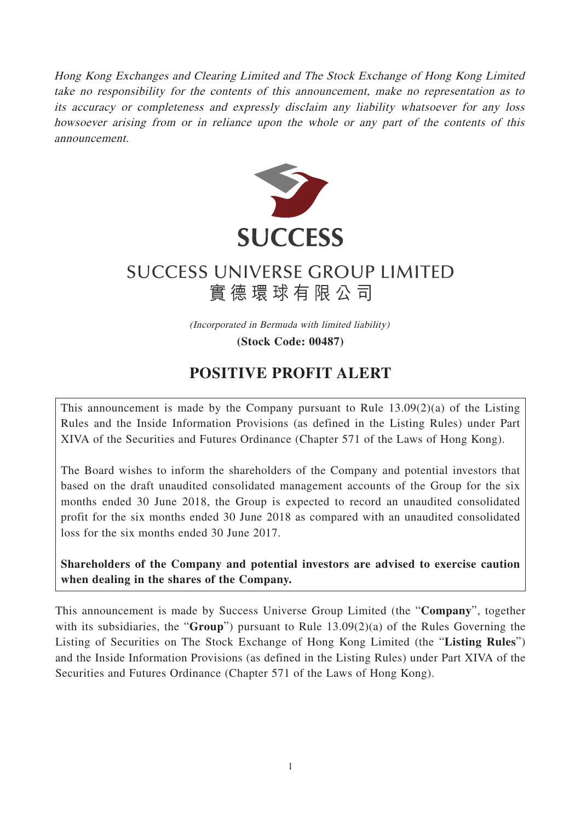Hong Kong Exchanges and Clearing Limited and The Stock Exchange of Hong Kong Limited take no responsibility for the contents of this announcement, make no representation as to its accuracy or completeness and expressly disclaim any liability whatsoever for any loss howsoever arising from or in reliance upon the whole or any part of the contents of this announcement.



## **SUCCESS UNIVERSE GROUP LIMITED** 實德環球有限公司

(Incorporated in Bermuda with limited liability)

**(Stock Code: 00487)**

## **POSITIVE PROFIT ALERT**

This announcement is made by the Company pursuant to Rule  $13.09(2)(a)$  of the Listing Rules and the Inside Information Provisions (as defined in the Listing Rules) under Part XIVA of the Securities and Futures Ordinance (Chapter 571 of the Laws of Hong Kong).

The Board wishes to inform the shareholders of the Company and potential investors that based on the draft unaudited consolidated management accounts of the Group for the six months ended 30 June 2018, the Group is expected to record an unaudited consolidated profit for the six months ended 30 June 2018 as compared with an unaudited consolidated loss for the six months ended 30 June 2017.

**Shareholders of the Company and potential investors are advised to exercise caution when dealing in the shares of the Company.**

This announcement is made by Success Universe Group Limited (the "**Company**", together with its subsidiaries, the "**Group**") pursuant to Rule 13.09(2)(a) of the Rules Governing the Listing of Securities on The Stock Exchange of Hong Kong Limited (the "**Listing Rules**") and the Inside Information Provisions (as defined in the Listing Rules) under Part XIVA of the Securities and Futures Ordinance (Chapter 571 of the Laws of Hong Kong).